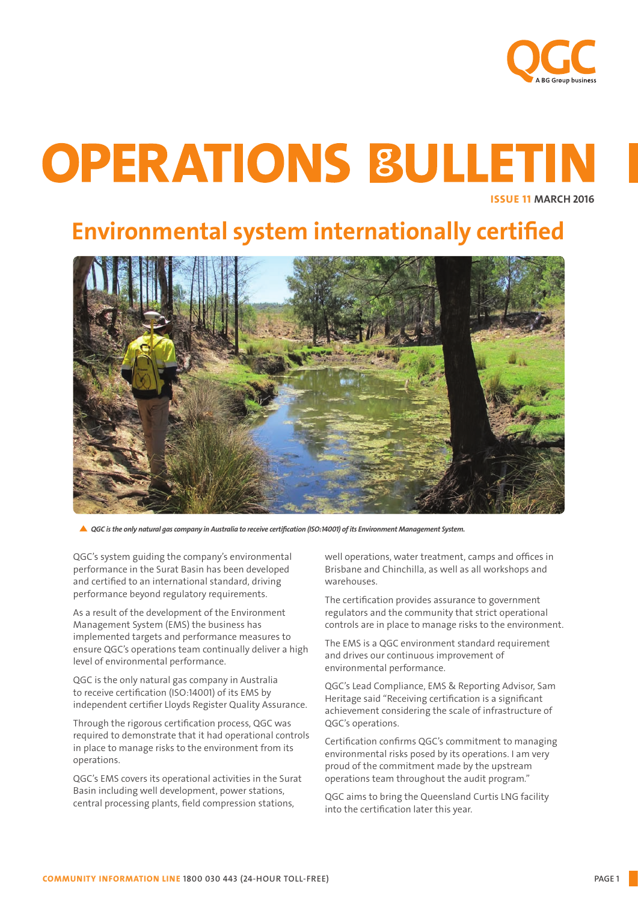

# **OPERATIONS BULLETIN**

ISSUE 11 MARCH 2016

# Environmental system internationally certified



*QGC is the only natural gas company in Australia to receive certification (ISO:14001) of its Environment Management System.*

QGC's system guiding the company's environmental performance in the Surat Basin has been developed and certified to an international standard, driving performance beyond regulatory requirements.

As a result of the development of the Environment Management System (EMS) the business has implemented targets and performance measures to ensure QGC's operations team continually deliver a high level of environmental performance.

QGC is the only natural gas company in Australia to receive certification (ISO:14001) of its EMS by independent certifier Lloyds Register Quality Assurance.

Through the rigorous certification process, QGC was required to demonstrate that it had operational controls in place to manage risks to the environment from its operations.

QGC's EMS covers its operational activities in the Surat Basin including well development, power stations, central processing plants, field compression stations,

well operations, water treatment, camps and offices in Brisbane and Chinchilla, as well as all workshops and warehouses.

The certification provides assurance to government regulators and the community that strict operational controls are in place to manage risks to the environment.

The EMS is a QGC environment standard requirement and drives our continuous improvement of environmental performance.

QGC's Lead Compliance, EMS & Reporting Advisor, Sam Heritage said "Receiving certification is a significant achievement considering the scale of infrastructure of QGC's operations.

Certification confirms QGC's commitment to managing environmental risks posed by its operations. I am very proud of the commitment made by the upstream operations team throughout the audit program."

QGC aims to bring the Queensland Curtis LNG facility into the certification later this year.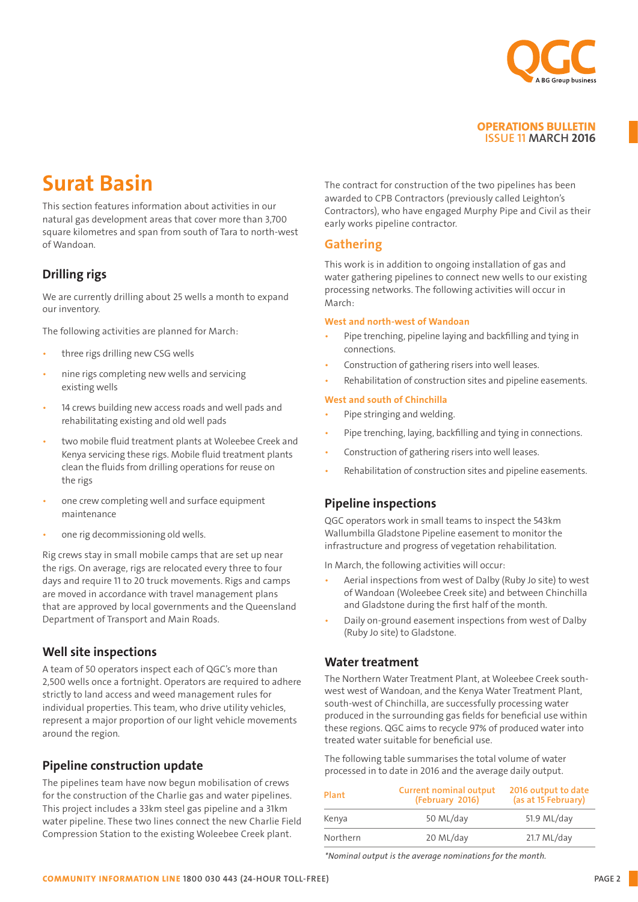

## Surat Basin

This section features information about activities in our natural gas development areas that cover more than 3,700 square kilometres and span from south of Tara to north-west of Wandoan.

#### Drilling rigs

We are currently drilling about 25 wells a month to expand our inventory.

The following activities are planned for March:

- three rigs drilling new CSG wells
- nine rigs completing new wells and servicing existing wells
- 14 crews building new access roads and well pads and rehabilitating existing and old well pads
- two mobile fluid treatment plants at Woleebee Creek and Kenya servicing these rigs. Mobile fluid treatment plants clean the fluids from drilling operations for reuse on the rigs
- one crew completing well and surface equipment maintenance
- one rig decommissioning old wells.

Rig crews stay in small mobile camps that are set up near the rigs. On average, rigs are relocated every three to four days and require 11 to 20 truck movements. Rigs and camps are moved in accordance with travel management plans that are approved by local governments and the Queensland Department of Transport and Main Roads.

#### Well site inspections

A team of 50 operators inspect each of QGC's more than 2,500 wells once a fortnight. Operators are required to adhere strictly to land access and weed management rules for individual properties. This team, who drive utility vehicles, represent a major proportion of our light vehicle movements around the region.

#### Pipeline construction update

The pipelines team have now begun mobilisation of crews for the construction of the Charlie gas and water pipelines. This project includes a 33km steel gas pipeline and a 31km water pipeline. These two lines connect the new Charlie Field Compression Station to the existing Woleebee Creek plant.

The contract for construction of the two pipelines has been awarded to CPB Contractors (previously called Leighton's Contractors), who have engaged Murphy Pipe and Civil as their early works pipeline contractor.

#### Gathering

This work is in addition to ongoing installation of gas and water gathering pipelines to connect new wells to our existing processing networks. The following activities will occur in March:

#### West and north-west of Wandoan

- Pipe trenching, pipeline laying and backfilling and tying in connections.
- Construction of gathering risers into well leases.
- Rehabilitation of construction sites and pipeline easements.

#### West and south of Chinchilla

- Pipe stringing and welding.
- Pipe trenching, laving, backfilling and tying in connections.
- Construction of gathering risers into well leases.
- Rehabilitation of construction sites and pipeline easements.

#### Pipeline inspections

QGC operators work in small teams to inspect the 543km Wallumbilla Gladstone Pipeline easement to monitor the infrastructure and progress of vegetation rehabilitation.

In March, the following activities will occur:

- Aerial inspections from west of Dalby (Ruby Jo site) to west of Wandoan (Woleebee Creek site) and between Chinchilla and Gladstone during the first half of the month.
- Daily on-ground easement inspections from west of Dalby (Ruby Jo site) to Gladstone.

#### Water treatment

The Northern Water Treatment Plant, at Woleebee Creek southwest west of Wandoan, and the Kenya Water Treatment Plant, south-west of Chinchilla, are successfully processing water produced in the surrounding gas fields for beneficial use within these regions. QGC aims to recycle 97% of produced water into treated water suitable for beneficial use.

The following table summarises the total volume of water processed in to date in 2016 and the average daily output.

| Plant    | <b>Current nominal output</b><br>(February 2016) | 2016 output to date<br>(as at 15 February)<br>51.9 ML/day |
|----------|--------------------------------------------------|-----------------------------------------------------------|
| Kenya    | 50 ML/day                                        |                                                           |
| Northern | 20 ML/day                                        | $21.7 \text{ ML/day}$                                     |

*\*Nominal output is the average nominations for the month.*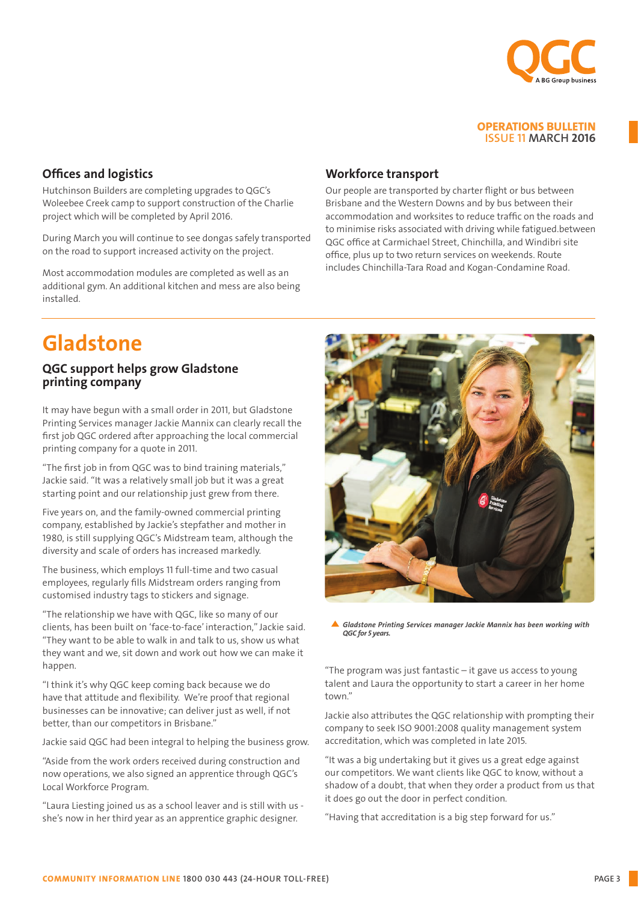

#### Offices and logistics

Hutchinson Builders are completing upgrades to QGC's Woleebee Creek camp to support construction of the Charlie project which will be completed by April 2016.

During March you will continue to see dongas safely transported on the road to support increased activity on the project.

Most accommodation modules are completed as well as an additional gym. An additional kitchen and mess are also being installed.

## Gladstone

#### QGC support helps grow Gladstone printing company

It may have begun with a small order in 2011, but Gladstone Printing Services manager Jackie Mannix can clearly recall the first job QGC ordered after approaching the local commercial printing company for a quote in 2011.

"The first job in from QGC was to bind training materials," Jackie said. "It was a relatively small job but it was a great starting point and our relationship just grew from there.

Five years on, and the family-owned commercial printing company, established by Jackie's stepfather and mother in 1980, is still supplying QGC's Midstream team, although the diversity and scale of orders has increased markedly.

The business, which employs 11 full-time and two casual employees, regularly fills Midstream orders ranging from customised industry tags to stickers and signage.

"The relationship we have with QGC, like so many of our clients, has been built on 'face-to-face' interaction," Jackie said. "They want to be able to walk in and talk to us, show us what they want and we, sit down and work out how we can make it happen.

"I think it's why QGC keep coming back because we do have that attitude and flexibility. We're proof that regional businesses can be innovative; can deliver just as well, if not better, than our competitors in Brisbane."

Jackie said QGC had been integral to helping the business grow.

"Aside from the work orders received during construction and now operations, we also signed an apprentice through QGC's Local Workforce Program.

"Laura Liesting joined us as a school leaver and is still with us she's now in her third year as an apprentice graphic designer.

#### Workforce transport

Our people are transported by charter flight or bus between Brisbane and the Western Downs and by bus between their accommodation and worksites to reduce traffic on the roads and to minimise risks associated with driving while fatigued.between QGC office at Carmichael Street, Chinchilla, and Windibri site office, plus up to two return services on weekends. Route includes Chinchilla-Tara Road and Kogan-Condamine Road.



*Gladstone Printing Services manager Jackie Mannix has been working with QGC for 5 years.* 

"The program was just fantastic – it gave us access to young talent and Laura the opportunity to start a career in her home town."

Jackie also attributes the QGC relationship with prompting their company to seek ISO 9001:2008 quality management system accreditation, which was completed in late 2015.

"It was a big undertaking but it gives us a great edge against our competitors. We want clients like QGC to know, without a shadow of a doubt, that when they order a product from us that it does go out the door in perfect condition.

"Having that accreditation is a big step forward for us."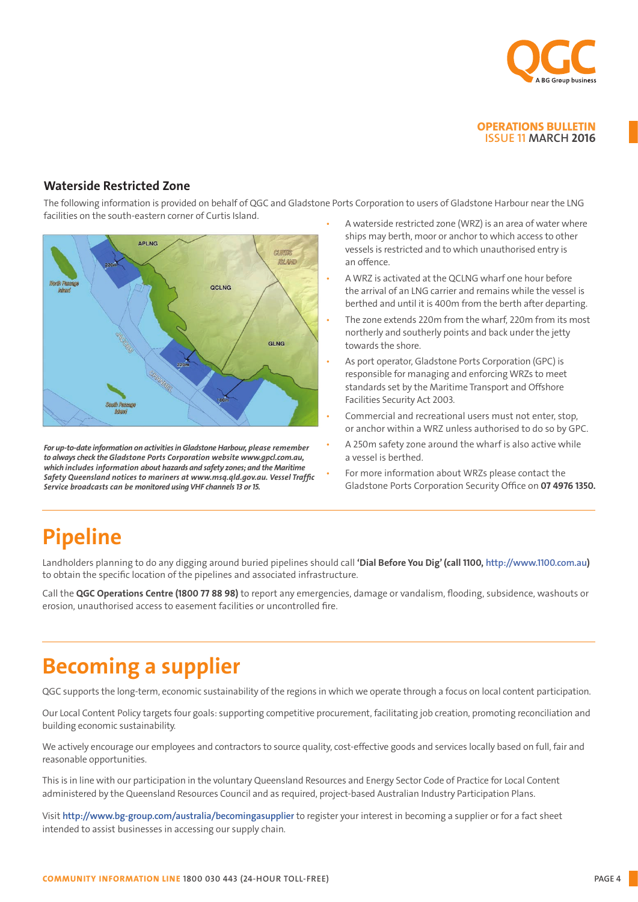

#### Waterside Restricted Zone

The following information is provided on behalf of QGC and Gladstone Ports Corporation to users of Gladstone Harbour near the LNG facilities on the south-eastern corner of Curtis Island. • A waterside restricted zone (WRZ) is an area of water where



*For up-to-date information on activities in Gladstone Harbour, please remember to always check the Gladstone Ports Corporation website www.gpcl.com.au, which includes information about hazards and safety zones; and the Maritime Safety Queensland notices to mariners at www.msq.qld.gov.au. Vessel Traffic Service broadcasts can be monitored using VHF channels 13 or 15.*

- ships may berth, moor or anchor to which access to other vessels is restricted and to which unauthorised entry is an offence.
- A WRZ is activated at the QCLNG wharf one hour before the arrival of an LNG carrier and remains while the vessel is berthed and until it is 400m from the berth after departing.
- The zone extends 220m from the wharf, 220m from its most northerly and southerly points and back under the jetty towards the shore.
- As port operator, Gladstone Ports Corporation (GPC) is responsible for managing and enforcing WRZs to meet standards set by the Maritime Transport and Offshore Facilities Security Act 2003.
- Commercial and recreational users must not enter, stop, or anchor within a WRZ unless authorised to do so by GPC.
- A 250m safety zone around the wharf is also active while a vessel is berthed.
- For more information about WRZs please contact the Gladstone Ports Corporation Security Office on 07 4976 1350.

## Pipeline

Landholders planning to do any digging around buried pipelines should call 'Dial Before You Dig' (call 1100, <http://www.1100.com.au>) to obtain the specific location of the pipelines and associated infrastructure.

Call the QGC Operations Centre (1800 77 88 98) to report any emergencies, damage or vandalism, flooding, subsidence, washouts or erosion, unauthorised access to easement facilities or uncontrolled fire.

## Becoming a supplier

QGC supports the long-term, economic sustainability of the regions in which we operate through a focus on local content participation.

Our Local Content Policy targets four goals: supporting competitive procurement, facilitating job creation, promoting reconciliation and building economic sustainability.

We actively encourage our employees and contractors to source quality, cost-effective goods and services locally based on full, fair and reasonable opportunities.

This is in line with our participation in the voluntary Queensland Resources and Energy Sector Code of Practice for Local Content administered by the Queensland Resources Council and as required, project-based Australian Industry Participation Plans.

Visit <http://www.bg-group.com/australia/becomingasupplier> to register your interest in becoming a supplier or for a fact sheet intended to assist businesses in accessing our supply chain.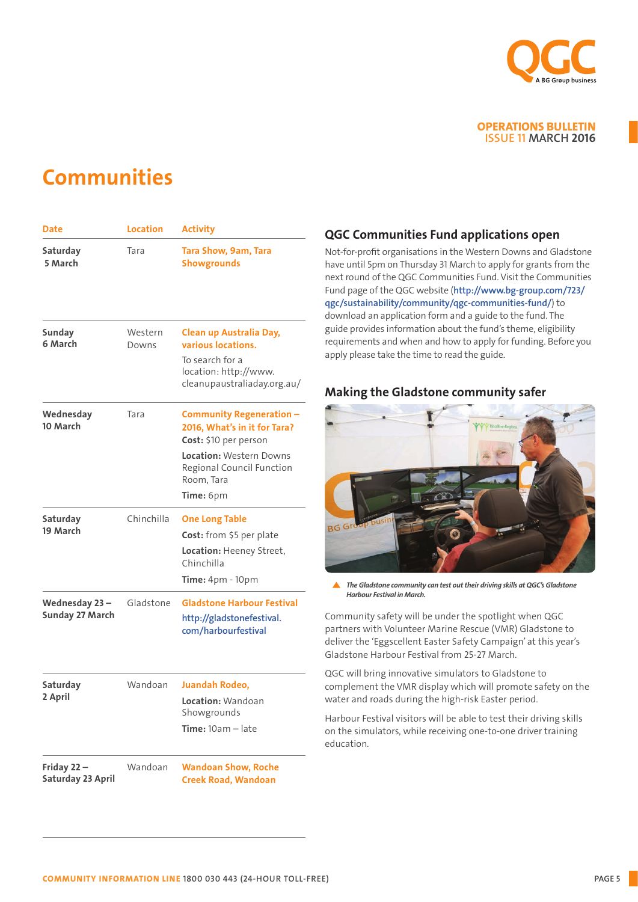

### **Communities**

| Date                                    | <b>Location</b>  | <b>Activity</b>                                                                                                                                                             |
|-----------------------------------------|------------------|-----------------------------------------------------------------------------------------------------------------------------------------------------------------------------|
| Saturday<br>5 March                     | Tara             | Tara Show, 9am, Tara<br><b>Showgrounds</b>                                                                                                                                  |
| Sunday<br>6 March                       | Western<br>Downs | Clean up Australia Day,<br>various locations.<br>To search for a<br>location: http://www.<br>cleanupaustraliaday.org.au/                                                    |
| Wednesday<br>10 March                   | Tara             | <b>Community Regeneration -</b><br>2016, What's in it for Tara?<br>Cost: \$10 per person<br>Location: Western Downs<br>Regional Council Function<br>Room, Tara<br>Time: 6pm |
| Saturday<br>19 March                    | Chinchilla       | <b>One Long Table</b><br>Cost: from \$5 per plate<br>Location: Heeney Street,<br>Chinchilla<br><b>Time:</b> 4pm - 10pm                                                      |
| Wednesday 23-<br><b>Sunday 27 March</b> | Gladstone        | <b>Gladstone Harbour Festival</b><br>http://gladstonefestival.<br>com/harbourfestival                                                                                       |
| Saturday<br>2 April                     | Wandoan          | <b>Juandah Rodeo,</b><br>Location: Wandoan<br>Showgrounds<br>$Time: 10am - late$                                                                                            |
| Friday 22-<br>Saturday 23 April         | Wandoan          | <b>Wandoan Show, Roche</b><br><b>Creek Road, Wandoan</b>                                                                                                                    |

#### QGC Communities Fund applications open

Not-for-profit organisations in the Western Downs and Gladstone have until 5pm on Thursday 31 March to apply for grants from the next round of the QGC Communities Fund. Visit the Communities Fund page of the QGC website ([http://www.bg-group.com/723/](http://www.bg-group.com/723/qgc/sustainability/community/qgc-communities-fund/) [qgc/sustainability/community/qgc-communities-fund/](http://www.bg-group.com/723/qgc/sustainability/community/qgc-communities-fund/)) to download an application form and a guide to the fund. The guide provides information about the fund's theme, eligibility requirements and when and how to apply for funding. Before you apply please take the time to read the guide.

#### Making the Gladstone community safer



*The Gladstone community can test out their driving skills at QGC's Gladstone Harbour Festival in March.*

Community safety will be under the spotlight when QGC partners with Volunteer Marine Rescue (VMR) Gladstone to deliver the 'Eggscellent Easter Safety Campaign' at this year's Gladstone Harbour Festival from 25-27 March.

QGC will bring innovative simulators to Gladstone to complement the VMR display which will promote safety on the water and roads during the high-risk Easter period.

Harbour Festival visitors will be able to test their driving skills on the simulators, while receiving one-to-one driver training education.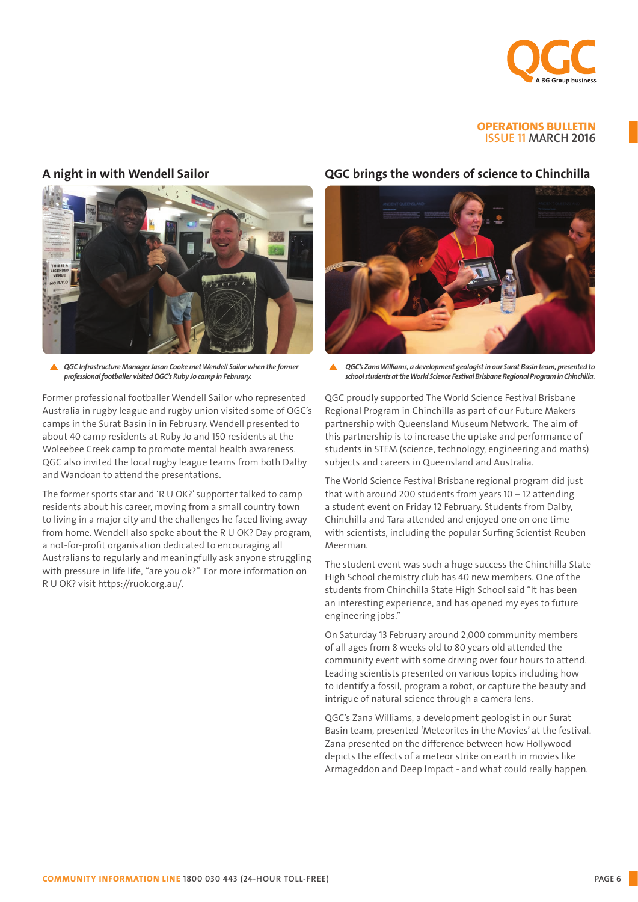

#### A night in with Wendell Sailor



**A** *QGC Infrastructure Manager Jason Cooke met Wendell Sailor when the former professional footballer visited QGC's Ruby Jo camp in February.* 

Former professional footballer Wendell Sailor who represented Australia in rugby league and rugby union visited some of QGC's camps in the Surat Basin in in February. Wendell presented to about 40 camp residents at Ruby Jo and 150 residents at the Woleebee Creek camp to promote mental health awareness. QGC also invited the local rugby league teams from both Dalby and Wandoan to attend the presentations.

The former sports star and 'R U OK?' supporter talked to camp residents about his career, moving from a small country town to living in a major city and the challenges he faced living away from home. Wendell also spoke about the R U OK? Day program, a not-for-profit organisation dedicated to encouraging all Australians to regularly and meaningfully ask anyone struggling with pressure in life life, "are you ok?" For more information on R U OK? visit https://ruok.org.au/.

#### QGC brings the wonders of science to Chinchilla



*QGC's Zana Williams, a development geologist in our Surat Basin team, presented to*   $\blacktriangle$ *school students at the World Science Festival Brisbane Regional Program in Chinchilla.*

QGC proudly supported The World Science Festival Brisbane Regional Program in Chinchilla as part of our Future Makers partnership with Queensland Museum Network. The aim of this partnership is to increase the uptake and performance of students in STEM (science, technology, engineering and maths) subjects and careers in Queensland and Australia.

The World Science Festival Brisbane regional program did just that with around 200 students from years  $10 - 12$  attending a student event on Friday 12 February. Students from Dalby, Chinchilla and Tara attended and enjoyed one on one time with scientists, including the popular Surfing Scientist Reuben Meerman.

The student event was such a huge success the Chinchilla State High School chemistry club has 40 new members. One of the students from Chinchilla State High School said "It has been an interesting experience, and has opened my eyes to future engineering jobs."

On Saturday 13 February around 2,000 community members of all ages from 8 weeks old to 80 years old attended the community event with some driving over four hours to attend. Leading scientists presented on various topics including how to identify a fossil, program a robot, or capture the beauty and intrigue of natural science through a camera lens.

QGC's Zana Williams, a development geologist in our Surat Basin team, presented 'Meteorites in the Movies' at the festival. Zana presented on the difference between how Hollywood depicts the effects of a meteor strike on earth in movies like Armageddon and Deep Impact - and what could really happen.